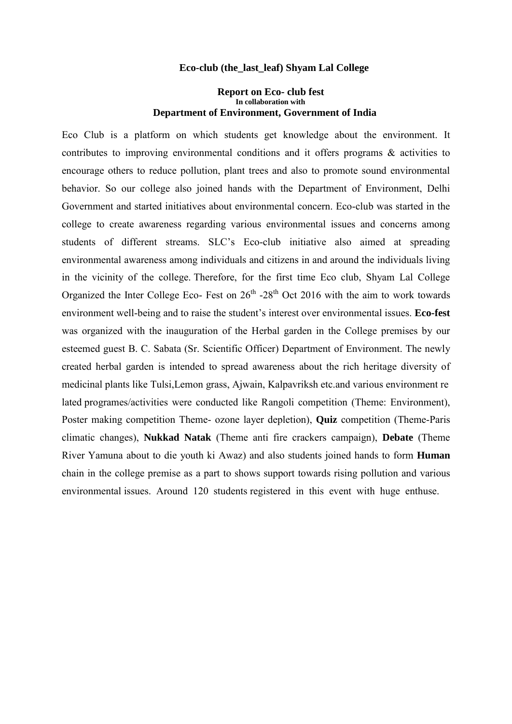### **Eco-club (the\_last\_leaf) Shyam Lal College**

### **Report on Eco- club fest In collaboration with Department of Environment, Government of India**

Eco Club is a platform on which students get knowledge about the environment. It contributes to improving environmental conditions and it offers programs & activities to encourage others to reduce pollution, plant trees and also to promote sound environmental behavior. So our college also joined hands with the Department of Environment, Delhi Government and started initiatives about environmental concern. Eco-club was started in the college to create awareness regarding various environmental issues and concerns among students of different streams. SLC's Eco-club initiative also aimed at spreading environmental awareness among individuals and citizens in and around the individuals living in the vicinity of the college. Therefore, for the first time Eco club, Shyam Lal College Organized the Inter College Eco- Fest on  $26<sup>th</sup>$  -28<sup>th</sup> Oct 2016 with the aim to work towards environment well-being and to raise the student's interest over environmental issues. **Eco-fest**  was organized with the inauguration of the Herbal garden in the College premises by our esteemed guest B. C. Sabata (Sr. Scientific Officer) Department of Environment. The newly created herbal garden is intended to spread awareness about the rich heritage diversity of medicinal plants like Tulsi,Lemon grass, Ajwain, Kalpavriksh etc.and various environment re lated programes/activities were conducted like Rangoli competition (Theme: Environment), Poster making competition Theme- ozone layer depletion), **Quiz** competition (Theme-Paris climatic changes), **Nukkad Natak** (Theme anti fire crackers campaign), **Debate** (Theme River Yamuna about to die youth ki Awaz) and also students joined hands to form **Human**  chain in the college premise as a part to shows support towards rising pollution and various environmental issues. Around 120 students registered in this event with huge enthuse.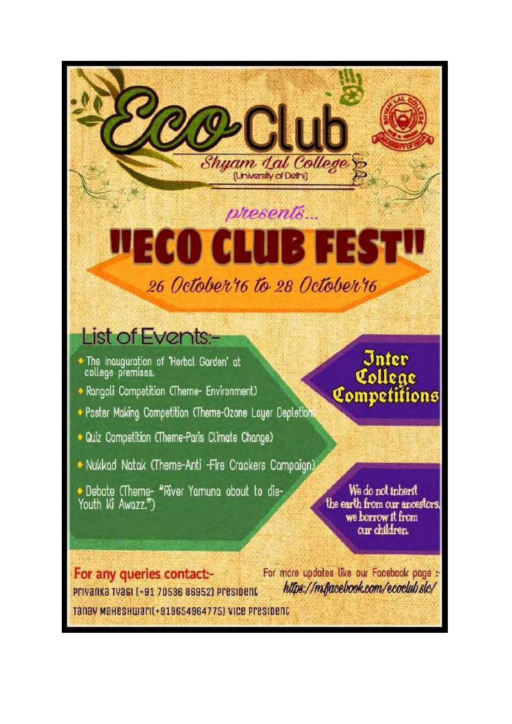# 26 October'16 to 28 October'16

Shyam Lal College

presents...

### **List of Events:-**

- . The Inauguration of "Herbal Garden" at<br>college premises.
- · Rangoli Competition (Theme- Environment)
- . Poster Making Competition (Theme-Ozone Layer Depletions
- . Quiz Competition (Theme-Paris Climate Change)
- . Nukkad Natak (Theme-Anti Fire Crackers Campaign)
- · Debate (Theme- "River Yamuna about to die-Youth Ki Awazz.")

## Jnter<br>College<br>Competitions

We do not inherit the earth from our ancestors. we borrow it from<br>our children.

For any queries contact:-**Privanka Tyagi [+91 70536 86952] President** TANAY MAHESHWAM(+919654964775) VICE PRESIDENT

For more updates like our Facebook page :https://msfacebook.com/ecoclub.slc/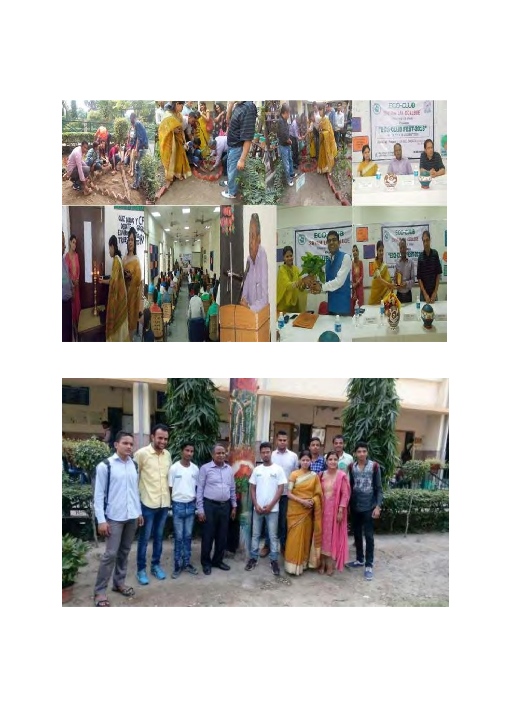

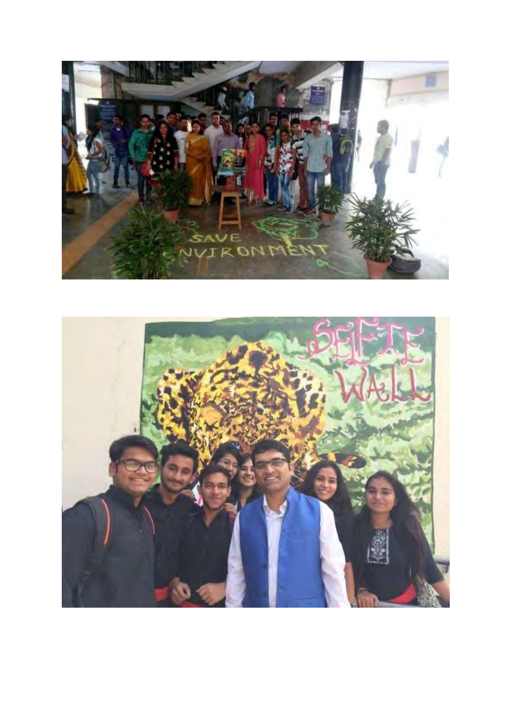

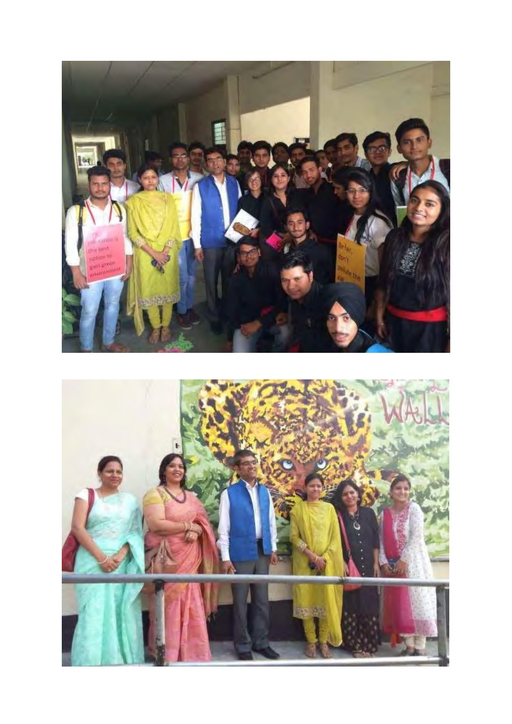